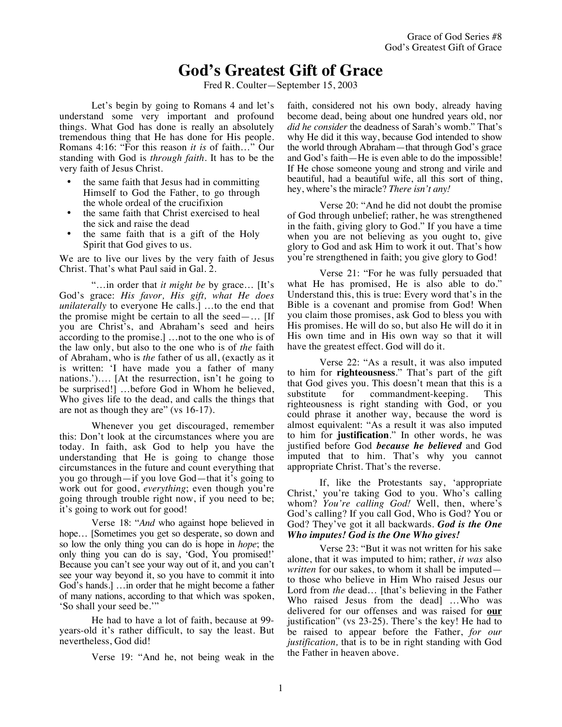## **God's Greatest Gift of Grace**

Fred R. Coulter—September 15, 2003

Let's begin by going to Romans 4 and let's understand some very important and profound things. What God has done is really an absolutely tremendous thing that He has done for His people. Romans 4:16: "For this reason *it is* of faith…" Our standing with God is *through faith*. It has to be the very faith of Jesus Christ.

- the same faith that Jesus had in committing Himself to God the Father, to go through the whole ordeal of the crucifixion
- the same faith that Christ exercised to heal the sick and raise the dead
- the same faith that is a gift of the Holy Spirit that God gives to us.

We are to live our lives by the very faith of Jesus Christ. That's what Paul said in Gal. 2.

"…in order that *it might be* by grace… [It's God's grace: *His favor, His gift, what He does unilaterally* to everyone He calls.] …to the end that the promise might be certain to all the seed—... [If you are Christ's, and Abraham's seed and heirs according to the promise.] …not to the one who is of the law only, but also to the one who is of *the* faith of Abraham, who is *the* father of us all, (exactly as it is written: 'I have made you a father of many nations.')…. [At the resurrection, isn't he going to be surprised!] …before God in Whom he believed, Who gives life to the dead, and calls the things that are not as though they are" (vs 16-17).

Whenever you get discouraged, remember this: Don't look at the circumstances where you are today. In faith, ask God to help you have the understanding that He is going to change those circumstances in the future and count everything that you go through—if you love God—that it's going to work out for good, *everything*; even though you're going through trouble right now, if you need to be; it's going to work out for good!

Verse 18: "*And* who against hope believed in hope… [Sometimes you get so desperate, so down and so low the only thing you can do is hope in *hope*; the only thing you can do is say, 'God, You promised!' Because you can't see your way out of it, and you can't see your way beyond it, so you have to commit it into God's hands.] …in order that he might become a father of many nations, according to that which was spoken, 'So shall your seed be.'"

He had to have a lot of faith, because at 99 years-old it's rather difficult, to say the least. But nevertheless, God did!

Verse 19: "And he, not being weak in the

faith, considered not his own body, already having become dead, being about one hundred years old, nor *did he consider* the deadness of Sarah's womb." That's why He did it this way, because God intended to show the world through Abraham—that through God's grace and God's faith—He is even able to do the impossible! If He chose someone young and strong and virile and beautiful, had a beautiful wife, all this sort of thing, hey, where's the miracle? *There isn't any!*

Verse 20: "And he did not doubt the promise of God through unbelief; rather, he was strengthened in the faith, giving glory to God." If you have a time when you are not believing as you ought to, give glory to God and ask Him to work it out. That's how you're strengthened in faith; you give glory to God!

Verse 21: "For he was fully persuaded that what He has promised, He is also able to do." Understand this, this is true: Every word that's in the Bible is a covenant and promise from God! When you claim those promises, ask God to bless you with His promises. He will do so, but also He will do it in His own time and in His own way so that it will have the greatest effect. God will do it.

Verse 22: "As a result, it was also imputed to him for **righteousness**." That's part of the gift that God gives you. This doesn't mean that this is a substitute for commandment-keeping. This righteousness is right standing with God, or you could phrase it another way, because the word is almost equivalent: "As a result it was also imputed to him for **justification**." In other words, he was justified before God *because he believed* and God imputed that to him. That's why you cannot appropriate Christ. That's the reverse.

If, like the Protestants say, 'appropriate Christ,' you're taking God to you. Who's calling whom? *You're calling God!* Well, then, where's God's calling? If you call God, Who is God? You or God? They've got it all backwards. *God is the One Who imputes! God is the One Who gives!*

Verse 23: "But it was not written for his sake alone, that it was imputed to him; rather, *it was* also *written* for our sakes, to whom it shall be imputed to those who believe in Him Who raised Jesus our Lord from *the* dead… [that's believing in the Father Who raised Jesus from the dead] …Who was delivered for our offenses and was raised for **our** justification" (vs 23-25). There's the key! He had to be raised to appear before the Father, *for our justification,* that is to be in right standing with God the Father in heaven above.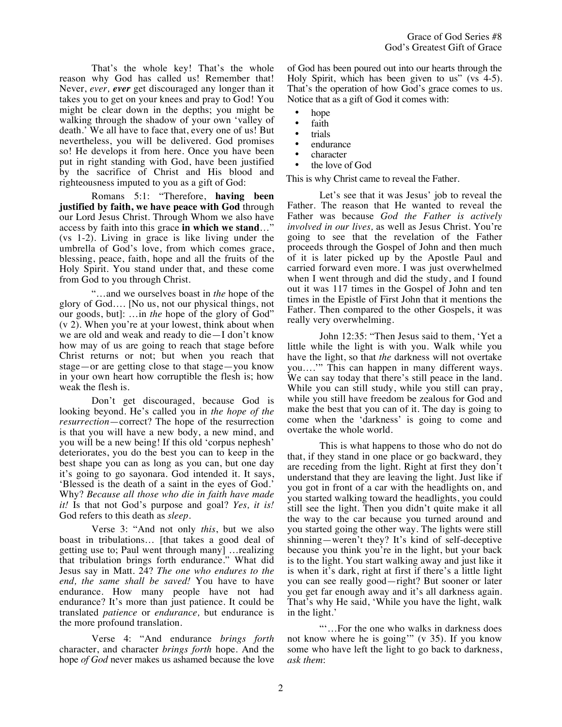That's the whole key! That's the whole reason why God has called us! Remember that! Never, *ever, ever* get discouraged any longer than it takes you to get on your knees and pray to God! You might be clear down in the depths; you might be walking through the shadow of your own 'valley of death.' We all have to face that, every one of us! But nevertheless, you will be delivered. God promises so! He develops it from here. Once you have been put in right standing with God, have been justified by the sacrifice of Christ and His blood and righteousness imputed to you as a gift of God:

Romans 5:1: "Therefore, **having been justified by faith, we have peace with God** through our Lord Jesus Christ. Through Whom we also have access by faith into this grace **in which we stand**…" (vs 1-2). Living in grace is like living under the umbrella of God's love, from which comes grace, blessing, peace, faith, hope and all the fruits of the Holy Spirit. You stand under that, and these come from God to you through Christ.

"…and we ourselves boast in *the* hope of the glory of God…. [No us, not our physical things, not our goods, but]: …in *the* hope of the glory of God" (v 2). When you're at your lowest, think about when we are old and weak and ready to die—I don't know how may of us are going to reach that stage before Christ returns or not; but when you reach that stage—or are getting close to that stage—you know in your own heart how corruptible the flesh is; how weak the flesh is.

Don't get discouraged, because God is looking beyond. He's called you in *the hope of the resurrection*—correct? The hope of the resurrection is that you will have a new body, a new mind, and you will be a new being! If this old 'corpus nephesh' deteriorates, you do the best you can to keep in the best shape you can as long as you can, but one day it's going to go sayonara. God intended it. It says, 'Blessed is the death of a saint in the eyes of God.' Why? *Because all those who die in faith have made it!* Is that not God's purpose and goal? *Yes, it is!* God refers to this death as *sleep.*

Verse 3: "And not only *this*, but we also boast in tribulations… [that takes a good deal of getting use to; Paul went through many] …realizing that tribulation brings forth endurance." What did Jesus say in Matt. 24? *The one who endures to the end, the same shall be saved!* You have to have endurance. How many people have not had endurance? It's more than just patience. It could be translated *patience* or *endurance,* but endurance is the more profound translation.

Verse 4: "And endurance *brings forth* character, and character *brings forth* hope. And the hope *of God* never makes us ashamed because the love of God has been poured out into our hearts through the Holy Spirit, which has been given to us" (vs 4-5). That's the operation of how God's grace comes to us. Notice that as a gift of God it comes with:

- hope
- faith
- trials
- endurance
- character
- the love of God

This is why Christ came to reveal the Father.

Let's see that it was Jesus' job to reveal the Father. The reason that He wanted to reveal the Father was because *God the Father is actively involved in our lives,* as well as Jesus Christ. You're going to see that the revelation of the Father proceeds through the Gospel of John and then much of it is later picked up by the Apostle Paul and carried forward even more. I was just overwhelmed when I went through and did the study, and I found out it was 117 times in the Gospel of John and ten times in the Epistle of First John that it mentions the Father. Then compared to the other Gospels, it was really very overwhelming.

John 12:35: "Then Jesus said to them, 'Yet a little while the light is with you. Walk while you have the light, so that *the* darkness will not overtake you….'" This can happen in many different ways. We can say today that there's still peace in the land. While you can still study, while you still can pray, while you still have freedom be zealous for God and make the best that you can of it. The day is going to come when the 'darkness' is going to come and overtake the whole world.

This is what happens to those who do not do that, if they stand in one place or go backward, they are receding from the light. Right at first they don't understand that they are leaving the light. Just like if you got in front of a car with the headlights on, and you started walking toward the headlights, you could still see the light. Then you didn't quite make it all the way to the car because you turned around and you started going the other way. The lights were still shinning—weren't they? It's kind of self-deceptive because you think you're in the light, but your back is to the light. You start walking away and just like it is when it's dark, right at first if there's a little light you can see really good—right? But sooner or later you get far enough away and it's all darkness again. That's why He said, 'While you have the light, walk in the light.'

"'…For the one who walks in darkness does not know where he is going'" (v 35). If you know some who have left the light to go back to darkness, *ask them*: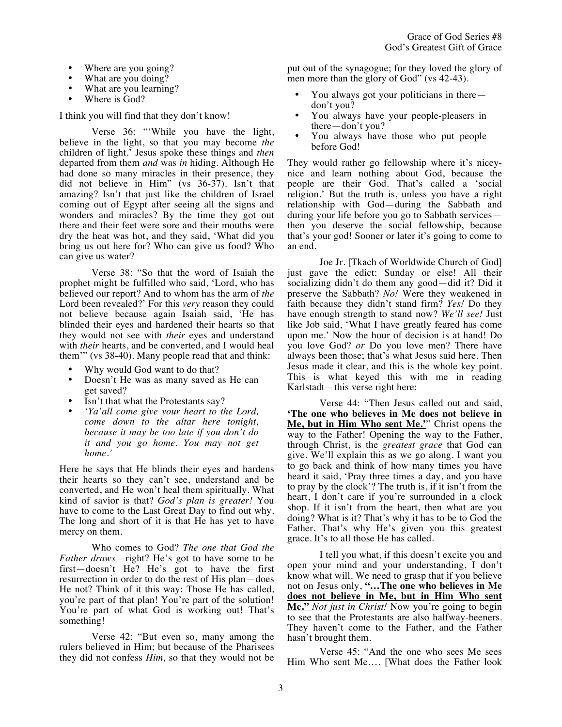Grace of God Series #8 God's Greatest Gift of Grace

- Where are you going?
- What are you doing?
- What are you learning?
- Where is God?

I think you will find that they don't know!

Verse 36: "'While you have the light, believe in the light, so that you may become *the* children of light.' Jesus spoke these things and *then* departed from them *and* was *in* hiding. Although He had done so many miracles in their presence, they did not believe in Him" (vs 36-37). Isn't that amazing? Isn't that just like the children of Israel coming out of Egypt after seeing all the signs and wonders and miracles? By the time they got out there and their feet were sore and their mouths were dry the heat was hot, and they said, 'What did you bring us out here for? Who can give us food? Who can give us water?

Verse 38: "So that the word of Isaiah the prophet might be fulfilled who said, 'Lord, who has believed our report? And to whom has the arm of *the* Lord been revealed?' For this *very* reason they could not believe because again Isaiah said, 'He has blinded their eyes and hardened their hearts so that they would not see with *their* eyes and understand with *their* hearts, and be converted, and I would heal them'" (vs 38-40). Many people read that and think:

- Why would God want to do that?
- Doesn't He was as many saved as He can get saved?
- Isn't that what the Protestants say?
- *'Ya'all come give your heart to the Lord, come down to the altar here tonight, because it may be too late if you don't do it and you go home. You may not get home.'*

Here he says that He blinds their eyes and hardens their hearts so they can't see, understand and be converted, and He won't heal them spiritually. What kind of savior is that? *God's plan is greater!* You have to come to the Last Great Day to find out why. The long and short of it is that He has yet to have mercy on them.

Who comes to God? *The one that God the Father draws*—right? He's got to have some to be first—doesn't He? He's got to have the first resurrection in order to do the rest of His plan—does He not? Think of it this way: Those He has called, you're part of that plan! You're part of the solution! You're part of what God is working out! That's something!

Verse 42: "But even so, many among the rulers believed in Him; but because of the Pharisees they did not confess *Him,* so that they would not be put out of the synagogue; for they loved the glory of men more than the glory of God" (vs 42-43).

- You always got your politicians in there don't you?
- You always have your people-pleasers in there—don't you?
- You always have those who put people before God!

They would rather go fellowship where it's niceynice and learn nothing about God, because the people are their God. That's called a 'social religion.' But the truth is, unless you have a right relationship with God—during the Sabbath and during your life before you go to Sabbath services then you deserve the social fellowship, because that's your god! Sooner or later it's going to come to an end.

Joe Jr. [Tkach of Worldwide Church of God] just gave the edict: Sunday or else! All their socializing didn't do them any good—did it? Did it preserve the Sabbath? *No!* Were they weakened in faith because they didn't stand firm? *Yes!* Do they have enough strength to stand now? *We'll see!* Just like Job said, 'What I have greatly feared has come upon me.' Now the hour of decision is at hand! Do you love God? *or* Do you love men? There have always been those; that's what Jesus said here. Then Jesus made it clear, and this is the whole key point. This is what keyed this with me in reading Karlstadt—this verse right here:

Verse 44: "Then Jesus called out and said, **'The one who believes in Me does not believe in Me, but in Him Who sent Me.'**" Christ opens the way to the Father! Opening the way to the Father, through Christ, is the *greatest grace* that God can give. We'll explain this as we go along. I want you to go back and think of how many times you have heard it said, 'Pray three times a day, and you have to pray by the clock'? The truth is, if it isn't from the heart, I don't care if you're surrounded in a clock shop. If it isn't from the heart, then what are you doing? What is it? That's why it has to be to God the Father. That's why He's given you this greatest grace. It's to all those He has called.

I tell you what, if this doesn't excite you and open your mind and your understanding, I don't know what will. We need to grasp that if you believe not on Jesus only, **"…The one who believes in Me does not believe in Me, but in Him Who sent Me."** *Not just in Christ!* Now you're going to begin to see that the Protestants are also halfway-beeners. They haven't come to the Father, and the Father hasn't brought them.

Verse 45: "And the one who sees Me sees Him Who sent Me…. [What does the Father look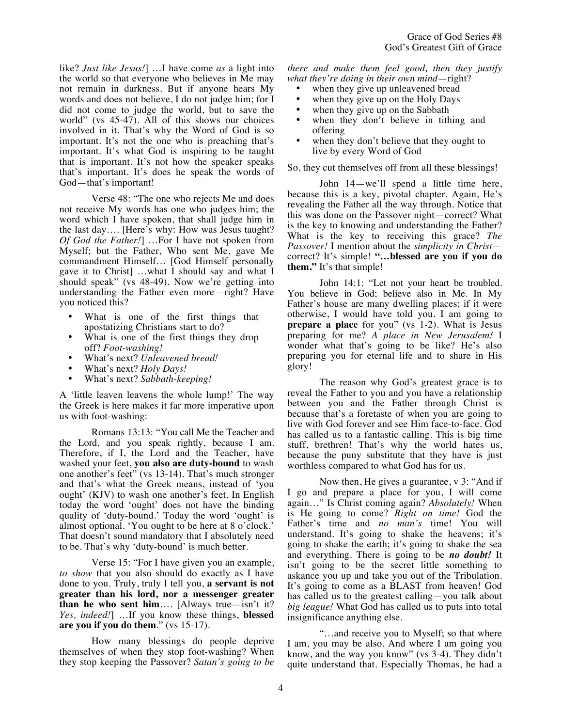like? *Just like Jesus!*] …I have come *as* a light into the world so that everyone who believes in Me may not remain in darkness. But if anyone hears My words and does not believe, I do not judge him; for I did not come to judge the world, but to save the world" (vs 45-47). All of this shows our choices involved in it. That's why the Word of God is so important. It's not the one who is preaching that's important. It's what God is inspiring to be taught that is important. It's not how the speaker speaks that's important. It's does he speak the words of God—that's important!

Verse 48: "The one who rejects Me and does not receive My words has one who judges him; the word which I have spoken, that shall judge him in the last day…. [Here's why: How was Jesus taught? *Of God the Father!*] …For I have not spoken from Myself; but the Father, Who sent Me, gave Me commandment Himself… [God Himself personally gave it to Christ] …what I should say and what I should speak" (vs 48-49). Now we're getting into understanding the Father even more—right? Have you noticed this?

- What is one of the first things that apostatizing Christians start to do?
- What is one of the first things they drop off? *Foot-washing!*
- What's next? *Unleavened bread!*
- What's next? *Holy Days!*
- What's next? *Sabbath-keeping!*

A 'little leaven leavens the whole lump!' The way the Greek is here makes it far more imperative upon us with foot-washing:

Romans 13:13: "You call Me the Teacher and the Lord, and you speak rightly, because I am. Therefore, if I, the Lord and the Teacher, have washed your feet, **you also are duty-bound** to wash one another's feet" (vs 13-14). That's much stronger and that's what the Greek means, instead of 'you ought' (KJV) to wash one another's feet. In English today the word 'ought' does not have the binding quality of 'duty-bound.' Today the word 'ought' is almost optional. 'You ought to be here at 8 o'clock.' That doesn't sound mandatory that I absolutely need to be. That's why 'duty-bound' is much better.

Verse 15: "For I have given you an example, *to show* that you also should do exactly as I have done to you. Truly, truly I tell you, **a servant is not greater than his lord, nor a messenger greater than he who sent him**…. [Always true—isn't it? *Yes, indeed!*] …If you know these things, **blessed are you if you do them**." (vs 15-17).

How many blessings do people deprive themselves of when they stop foot-washing? When they stop keeping the Passover? *Satan's going to be*  *there and make them feel good, then they justify what they're doing in their own mind*—right?

- when they give up unleavened bread
- when they give up on the Holy Days
- when they give up on the Sabbath
- when they don't believe in tithing and offering
- when they don't believe that they ought to live by every Word of God

So, they cut themselves off from all these blessings!

John 14—we'll spend a little time here, because this is a key, pivotal chapter. Again, He's revealing the Father all the way through. Notice that this was done on the Passover night—correct? What is the key to knowing and understanding the Father? What is the key to receiving this grace? *The Passover!* I mention about the *simplicity in Christ* correct? It's simple! **"…blessed are you if you do them."** It's that simple!

John 14:1: "Let not your heart be troubled. You believe in God; believe also in Me. In My Father's house are many dwelling places; if it were otherwise, I would have told you. I am going to **prepare a place** for you" (vs 1-2). What is Jesus preparing for me? *A place in New Jerusalem!* I wonder what that's going to be like? He's also preparing you for eternal life and to share in His glory!

The reason why God's greatest grace is to reveal the Father to you and you have a relationship between you and the Father through Christ is because that's a foretaste of when you are going to live with God forever and see Him face-to-face. God has called us to a fantastic calling. This is big time stuff, brethren! That's why the world hates us, because the puny substitute that they have is just worthless compared to what God has for us.

Now then, He gives a guarantee, v 3: "And if I go and prepare a place for you, I will come again…" Is Christ coming again? *Absolutely!* When is He going to come? *Right on time!* God the Father's time and *no man's* time! You will understand. It's going to shake the heavens; it's going to shake the earth; it's going to shake the sea and everything. There is going to be *no doubt!* It isn't going to be the secret little something to askance you up and take you out of the Tribulation. It's going to come as a BLAST from heaven! God has called us to the greatest calling—you talk about *big league!* What God has called us to puts into total insignificance anything else.

"…and receive you to Myself; so that where I am, you may be also. And where I am going you know, and the way you know" (vs 3-4). They didn't quite understand that. Especially Thomas, he had a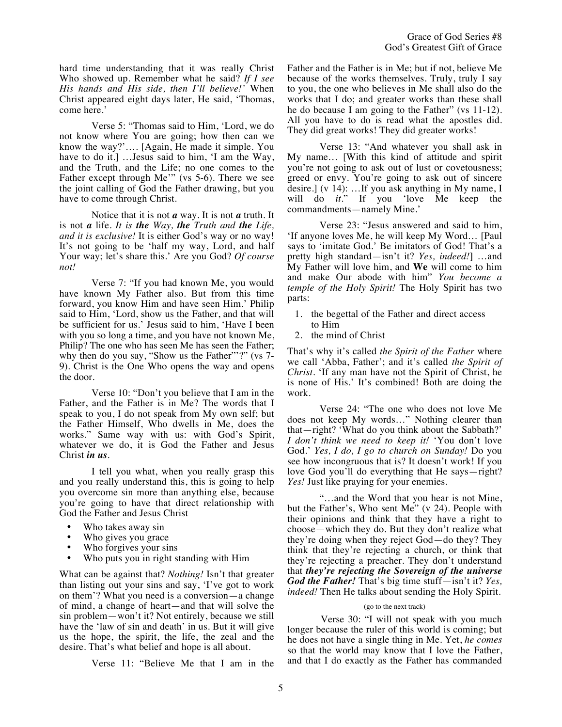hard time understanding that it was really Christ Who showed up. Remember what he said? *If I see His hands and His side, then I'll believe!'* When Christ appeared eight days later, He said, 'Thomas, come here.'

Verse 5: "Thomas said to Him, 'Lord, we do not know where You are going; how then can we know the way?'…. [Again, He made it simple. You have to do it.] ... Jesus said to him, 'I am the Way, and the Truth, and the Life; no one comes to the Father except through Me'" (vs 5-6). There we see the joint calling of God the Father drawing, but you have to come through Christ.

Notice that it is not *a* way. It is not *a* truth. It is not *a* life. *It is the Way, the Truth and the Life, and it is exclusive!* It is either God's way or no way! It's not going to be 'half my way, Lord, and half Your way; let's share this.' Are you God? *Of course not!*

Verse 7: "If you had known Me, you would have known My Father also. But from this time forward, you know Him and have seen Him.' Philip said to Him, 'Lord, show us the Father, and that will be sufficient for us.' Jesus said to him, 'Have I been with you so long a time, and you have not known Me, Philip? The one who has seen Me has seen the Father; why then do you say, "Show us the Father"'?" (vs 7-9). Christ is the One Who opens the way and opens the door.

Verse 10: "Don't you believe that I am in the Father, and the Father is in Me? The words that I speak to you, I do not speak from My own self; but the Father Himself, Who dwells in Me, does the works." Same way with us: with God's Spirit, whatever we do, it is God the Father and Jesus Christ *in us*.

I tell you what, when you really grasp this and you really understand this, this is going to help you overcome sin more than anything else, because you're going to have that direct relationship with God the Father and Jesus Christ

- Who takes away sin
- Who gives you grace
- Who forgives your sins<br>• Who puts you in right st
- Who puts you in right standing with Him

What can be against that? *Nothing!* Isn't that greater than listing out your sins and say, 'I've got to work on them'? What you need is a conversion—a change of mind, a change of heart—and that will solve the sin problem—won't it? Not entirely, because we still have the 'law of sin and death' in us. But it will give us the hope, the spirit, the life, the zeal and the desire. That's what belief and hope is all about.

Verse 11: "Believe Me that I am in the

Father and the Father is in Me; but if not, believe Me because of the works themselves. Truly, truly I say to you, the one who believes in Me shall also do the works that I do; and greater works than these shall he do because I am going to the Father" (vs 11-12). All you have to do is read what the apostles did. They did great works! They did greater works!

Verse 13: "And whatever you shall ask in My name… [With this kind of attitude and spirit you're not going to ask out of lust or covetousness; greed or envy. You're going to ask out of sincere desire.] (v 14): …If you ask anything in My name, I will do *it*." If you 'love Me keep the commandments—namely Mine.'

Verse 23: "Jesus answered and said to him, 'If anyone loves Me, he will keep My Word… [Paul says to 'imitate God.' Be imitators of God! That's a pretty high standard—isn't it? *Yes, indeed!*] …and My Father will love him, and **We** will come to him and make Our abode with him" *You become a temple of the Holy Spirit!* The Holy Spirit has two parts:

- 1. the begettal of the Father and direct access to Him
- 2. the mind of Christ

That's why it's called *the Spirit of the Father* where we call 'Abba, Father'; and it's called *the Spirit of Christ.* 'If any man have not the Spirit of Christ, he is none of His.' It's combined! Both are doing the work.

Verse 24: "The one who does not love Me does not keep My words…" Nothing clearer than that—right? 'What do you think about the Sabbath?' *I don't think we need to keep it!* 'You don't love God.' *Yes, I do, I go to church on Sunday!* Do you see how incongruous that is? It doesn't work! If you love God you'll do everything that He says—right? *Yes!* Just like praying for your enemies.

"…and the Word that you hear is not Mine, but the Father's, Who sent Me" (v 24). People with their opinions and think that they have a right to choose—which they do. But they don't realize what they're doing when they reject God—do they? They think that they're rejecting a church, or think that they're rejecting a preacher. They don't understand that *they're rejecting the Sovereign of the universe God the Father!* That's big time stuff—isn't it? *Yes, indeed!* Then He talks about sending the Holy Spirit.

## (go to the next track)

Verse 30: "I will not speak with you much longer because the ruler of this world is coming; but he does not have a single thing in Me. Yet, *he comes*  so that the world may know that I love the Father, and that I do exactly as the Father has commanded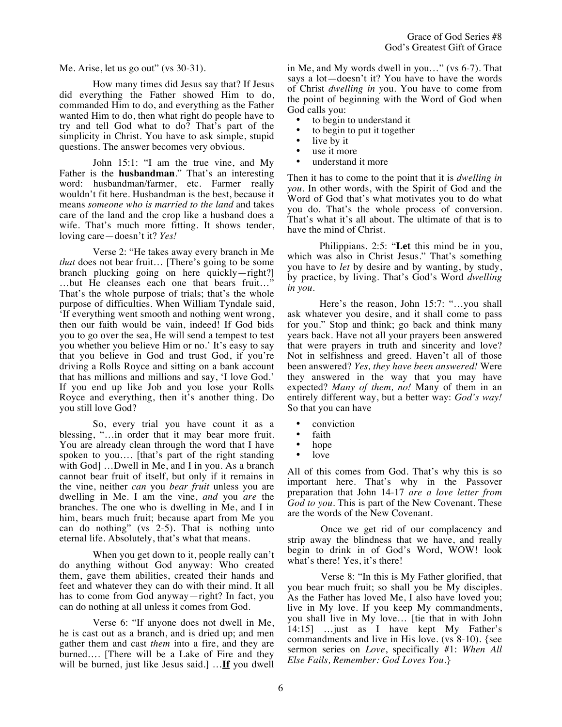Me. Arise, let us go out" (vs 30-31).

How many times did Jesus say that? If Jesus did everything the Father showed Him to do, commanded Him to do, and everything as the Father wanted Him to do, then what right do people have to try and tell God what to do? That's part of the simplicity in Christ. You have to ask simple, stupid questions. The answer becomes very obvious.

John 15:1: "I am the true vine, and My Father is the **husbandman**." That's an interesting word: husbandman/farmer, etc. Farmer really wouldn't fit here. Husbandman is the best, because it means *someone who is married to the land* and takes care of the land and the crop like a husband does a wife. That's much more fitting. It shows tender, loving care—doesn't it? *Yes!*

Verse 2: "He takes away every branch in Me *that* does not bear fruit… [There's going to be some branch plucking going on here quickly—right?] …but He cleanses each one that bears fruit…" That's the whole purpose of trials; that's the whole purpose of difficulties. When William Tyndale said, 'If everything went smooth and nothing went wrong, then our faith would be vain, indeed! If God bids you to go over the sea, He will send a tempest to test you whether you believe Him or no.' It's easy to say that you believe in God and trust God, if you're driving a Rolls Royce and sitting on a bank account that has millions and millions and say, 'I love God.' If you end up like Job and you lose your Rolls Royce and everything, then it's another thing. Do you still love God?

So, every trial you have count it as a blessing, "…in order that it may bear more fruit. You are already clean through the word that I have spoken to you…. [that's part of the right standing with God] ...Dwell in Me, and I in you. As a branch cannot bear fruit of itself, but only if it remains in the vine, neither *can* you *bear fruit* unless you are dwelling in Me. I am the vine, *and* you *are* the branches. The one who is dwelling in Me, and I in him, bears much fruit; because apart from Me you can do nothing" (vs 2-5). That is nothing unto eternal life. Absolutely, that's what that means.

When you get down to it, people really can't do anything without God anyway: Who created them, gave them abilities, created their hands and feet and whatever they can do with their mind. It all has to come from God anyway—right? In fact, you can do nothing at all unless it comes from God.

Verse 6: "If anyone does not dwell in Me, he is cast out as a branch, and is dried up; and men gather them and cast *them* into a fire, and they are burned…. [There will be a Lake of Fire and they will be burned, just like Jesus said.] …**If** you dwell in Me, and My words dwell in you…" (vs 6-7). That says a lot—doesn't it? You have to have the words of Christ *dwelling in y*ou. You have to come from the point of beginning with the Word of God when God calls you:

- to begin to understand it
- to begin to put it together<br>• live by it
- live by it
- use it more
- understand it more

Then it has to come to the point that it is *dwelling in you.* In other words, with the Spirit of God and the Word of God that's what motivates you to do what you do. That's the whole process of conversion. That's what it's all about. The ultimate of that is to have the mind of Christ.

Philippians. 2:5: "**Let** this mind be in you, which was also in Christ Jesus." That's something you have to *let* by desire and by wanting, by study, by practice, by living. That's God's Word *dwelling in you*.

Here's the reason, John 15:7: "…you shall ask whatever you desire, and it shall come to pass for you." Stop and think; go back and think many years back. Have not all your prayers been answered that were prayers in truth and sincerity and love? Not in selfishness and greed. Haven't all of those been answered? *Yes, they have been answered!* Were they answered in the way that you may have expected? *Many of them, no!* Many of them in an entirely different way, but a better way: *God's way!* So that you can have

- conviction
- faith
- hope
- love

All of this comes from God. That's why this is so important here. That's why in the Passover preparation that John 14-17 *are a love letter from God to you.* This is part of the New Covenant. These are the words of the New Covenant.

Once we get rid of our complacency and strip away the blindness that we have, and really begin to drink in of God's Word, WOW! look what's there! Yes, it's there!

Verse 8: "In this is My Father glorified, that you bear much fruit; so shall you be My disciples. As the Father has loved Me, I also have loved you; live in My love. If you keep My commandments, you shall live in My love… [tie that in with John 14:15] …just as I have kept My Father's commandments and live in His love. (vs 8-10). {see sermon series on *Love*, specifically #1: *When All Else Fails, Remember: God Loves You.*}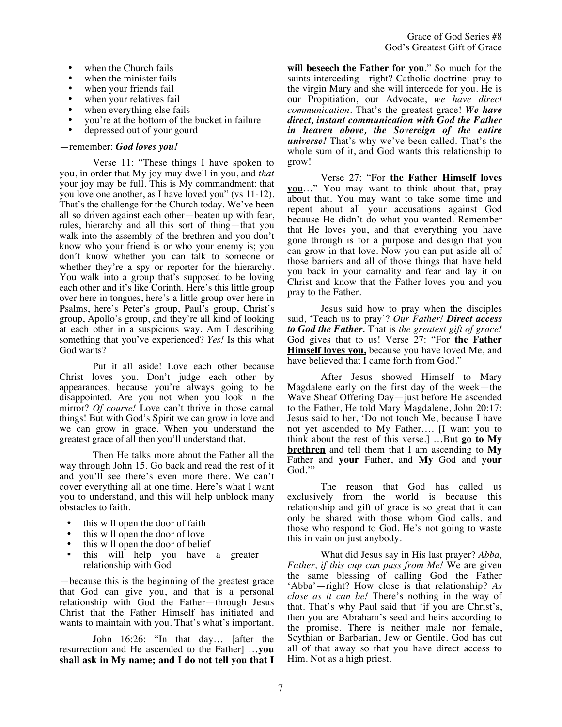- when the Church fails
- when the minister fails
- when your friends fail
- when your relatives fail
- when everything else fails
- you're at the bottom of the bucket in failure
- depressed out of your gourd

## —remember: *God loves you!*

Verse 11: "These things I have spoken to you, in order that My joy may dwell in you, and *that*  your joy may be full. This is My commandment: that you love one another, as I have loved you" (vs 11-12). That's the challenge for the Church today. We've been all so driven against each other—beaten up with fear, rules, hierarchy and all this sort of thing—that you walk into the assembly of the brethren and you don't know who your friend is or who your enemy is; you don't know whether you can talk to someone or whether they're a spy or reporter for the hierarchy. You walk into a group that's supposed to be loving each other and it's like Corinth. Here's this little group over here in tongues, here's a little group over here in Psalms, here's Peter's group, Paul's group, Christ's group, Apollo's group, and they're all kind of looking at each other in a suspicious way. Am I describing something that you've experienced? *Yes!* Is this what God wants?

Put it all aside! Love each other because Christ loves you. Don't judge each other by appearances, because you're always going to be disappointed. Are you not when you look in the mirror? *Of course!* Love can't thrive in those carnal things! But with God's Spirit we can grow in love and we can grow in grace. When you understand the greatest grace of all then you'll understand that.

Then He talks more about the Father all the way through John 15. Go back and read the rest of it and you'll see there's even more there. We can't cover everything all at one time. Here's what I want you to understand, and this will help unblock many obstacles to faith.

- this will open the door of faith
- this will open the door of love
- this will open the door of belief
- this will help you have a greater relationship with God

—because this is the beginning of the greatest grace that God can give you, and that is a personal relationship with God the Father—through Jesus Christ that the Father Himself has initiated and wants to maintain with you. That's what's important.

John 16:26: "In that day… [after the resurrection and He ascended to the Father] …**you shall ask in My name; and I do not tell you that I**  **will beseech the Father for you**." So much for the saints interceding—right? Catholic doctrine: pray to the virgin Mary and she will intercede for you. He is our Propitiation, our Advocate, *we have direct communication*. That's the greatest grace! *We have direct, instant communication with God the Father in heaven above, the Sovereign of the entire universe!* That's why we've been called. That's the whole sum of it, and God wants this relationship to grow!

Verse 27: "For **the Father Himself loves you**…" You may want to think about that, pray about that. You may want to take some time and repent about all your accusations against God because He didn't do what you wanted. Remember that He loves you, and that everything you have gone through is for a purpose and design that you can grow in that love. Now you can put aside all of those barriers and all of those things that have held you back in your carnality and fear and lay it on Christ and know that the Father loves you and you pray to the Father.

Jesus said how to pray when the disciples said, 'Teach us to pray'? *Our Father! Direct access to God the Father.* That is *the greatest gift of grace!* God gives that to us! Verse 27: "For **the Father Himself loves you,** because you have loved Me, and have believed that I came forth from God."

After Jesus showed Himself to Mary Magdalene early on the first day of the week—the Wave Sheaf Offering Day—just before He ascended to the Father, He told Mary Magdalene, John 20:17: Jesus said to her, 'Do not touch Me, because I have not yet ascended to My Father…. [I want you to think about the rest of this verse.] …But **go to My brethren** and tell them that I am ascending to **My** Father and **your** Father, and **My** God and **your** God.'"

The reason that God has called us exclusively from the world is because this relationship and gift of grace is so great that it can only be shared with those whom God calls, and those who respond to God. He's not going to waste this in vain on just anybody.

What did Jesus say in His last prayer? *Abba, Father, if this cup can pass from Me!* We are given the same blessing of calling God the Father 'Abba'—right? How close is that relationship? *As close as it can be!* There's nothing in the way of that. That's why Paul said that 'if you are Christ's, then you are Abraham's seed and heirs according to the promise. There is neither male nor female, Scythian or Barbarian, Jew or Gentile. God has cut all of that away so that you have direct access to Him. Not as a high priest.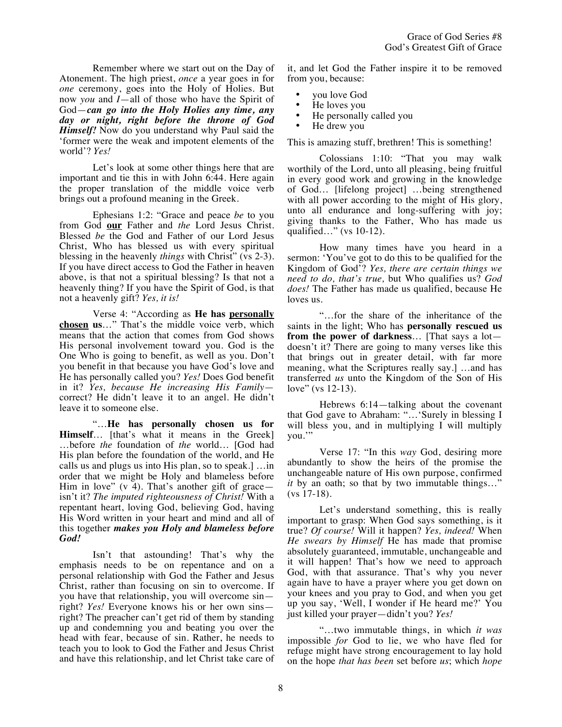Remember where we start out on the Day of Atonement. The high priest, *once* a year goes in for *one* ceremony, goes into the Holy of Holies. But now *you* and *I*—all of those who have the Spirit of God—*can go into the Holy Holies any time, any day or night, right before the throne of God Himself!* Now do you understand why Paul said the 'former were the weak and impotent elements of the world'? *Yes!*

Let's look at some other things here that are important and tie this in with John 6:44. Here again the proper translation of the middle voice verb brings out a profound meaning in the Greek.

Ephesians 1:2: "Grace and peace *be* to you from God **our** Father and *the* Lord Jesus Christ. Blessed *be* the God and Father of our Lord Jesus Christ, Who has blessed us with every spiritual blessing in the heavenly *things* with Christ" (vs 2-3). If you have direct access to  $\tilde{G}$ od the Father in heaven above, is that not a spiritual blessing? Is that not a heavenly thing? If you have the Spirit of God, is that not a heavenly gift? *Yes, it is!*

Verse 4: "According as **He has personally chosen us**…" That's the middle voice verb, which means that the action that comes from God shows His personal involvement toward you. God is the One Who is going to benefit, as well as you. Don't you benefit in that because you have God's love and He has personally called you? *Yes!* Does God benefit in it? *Yes, because He increasing His Family* correct? He didn't leave it to an angel. He didn't leave it to someone else.

"…**He has personally chosen us for Himself**… [that's what it means in the Greek] …before *the* foundation of *the* world… [God had His plan before the foundation of the world, and He calls us and plugs us into His plan, so to speak.] …in order that we might be Holy and blameless before Him in love"  $(v 4)$ . That's another gift of grace isn't it? *The imputed righteousness of Christ!* With a repentant heart, loving God, believing God, having His Word written in your heart and mind and all of this together *makes you Holy and blameless before God!*

Isn't that astounding! That's why the emphasis needs to be on repentance and on a personal relationship with God the Father and Jesus Christ, rather than focusing on sin to overcome. If you have that relationship, you will overcome sin right? *Yes!* Everyone knows his or her own sins right? The preacher can't get rid of them by standing up and condemning you and beating you over the head with fear, because of sin. Rather, he needs to teach you to look to God the Father and Jesus Christ and have this relationship, and let Christ take care of it, and let God the Father inspire it to be removed from you, because:

- you love God
- He loves you
- He personally called you
- He drew you

This is amazing stuff, brethren! This is something!

Colossians 1:10: "That you may walk worthily of the Lord, unto all pleasing, being fruitful in every good work and growing in the knowledge of God… [lifelong project] …being strengthened with all power according to the might of His glory, unto all endurance and long-suffering with joy; giving thanks to the Father, Who has made us qualified…" (vs 10-12).

How many times have you heard in a sermon: 'You've got to do this to be qualified for the Kingdom of God'? *Yes, there are certain things we need to do, that's true,* but Who qualifies us? *God does!* The Father has made us qualified, because He loves us.

"…for the share of the inheritance of the saints in the light; Who has **personally rescued us from the power of darkness**… [That says a lot doesn't it? There are going to many verses like this that brings out in greater detail, with far more meaning, what the Scriptures really say.] …and has transferred *us* unto the Kingdom of the Son of His love" (vs 12-13).

Hebrews 6:14—talking about the covenant that God gave to Abraham: "…'Surely in blessing I will bless you, and in multiplying I will multiply you."

Verse 17: "In this *way* God, desiring more abundantly to show the heirs of the promise the unchangeable nature of His own purpose, confirmed *it* by an oath; so that by two immutable things..." (vs 17-18).

Let's understand something, this is really important to grasp: When God says something, is it true? *Of course!* Will it happen? *Yes, indeed!* When *He swears by Himself* He has made that promise absolutely guaranteed, immutable, unchangeable and it will happen! That's how we need to approach God, with that assurance. That's why you never again have to have a prayer where you get down on your knees and you pray to God, and when you get up you say, 'Well, I wonder if He heard me?' You just killed your prayer—didn't you? *Yes!*

"…two immutable things, in which *it was* impossible *for* God to lie, we who have fled for refuge might have strong encouragement to lay hold on the hope *that has been* set before *us*; which *hope*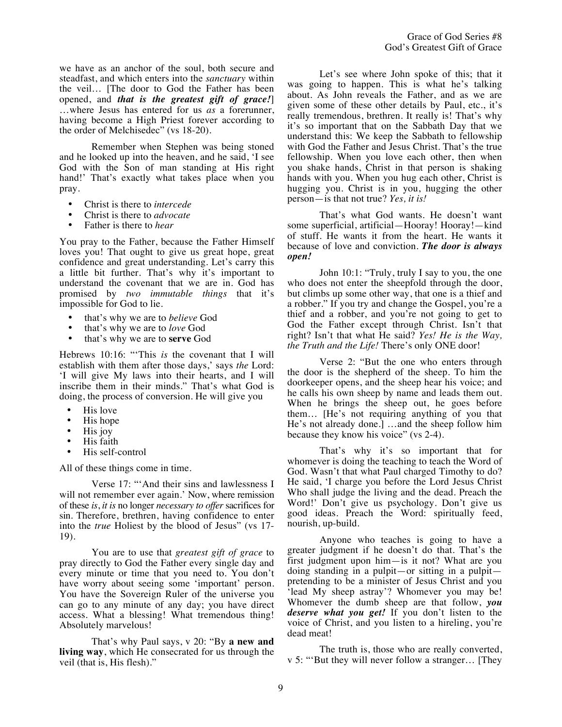we have as an anchor of the soul, both secure and steadfast, and which enters into the *sanctuary* within the veil… [The door to God the Father has been opened, and *that is the greatest gift of grace!*] …where Jesus has entered for us *as* a forerunner, having become a High Priest forever according to the order of Melchisedec" (vs 18-20).

Remember when Stephen was being stoned and he looked up into the heaven, and he said, 'I see God with the Son of man standing at His right hand!' That's exactly what takes place when you pray.

- Christ is there to *intercede*
- Christ is there to *advocate*<br>• Father is there to *hear*
- Father is there to *hear*

You pray to the Father, because the Father Himself loves you! That ought to give us great hope, great confidence and great understanding. Let's carry this a little bit further. That's why it's important to understand the covenant that we are in. God has promised by *two immutable things* that it's impossible for God to lie.

- that's why we are to *believe* God
- that's why we are to *love* God
- that's why we are to **serve** God

Hebrews 10:16: "'This *is* the covenant that I will establish with them after those days,' says *the* Lord: 'I will give My laws into their hearts, and I will inscribe them in their minds." That's what God is doing, the process of conversion. He will give you

- His love
- His hope
- His joy
- His faith
- His self-control

All of these things come in time.

Verse 17: "'And their sins and lawlessness I will not remember ever again.' Now, where remission of these *is*, *it is* no longer *necessary to offer* sacrifices for sin. Therefore, brethren, having confidence to enter into the *true* Holiest by the blood of Jesus" (vs 17- 19).

You are to use that *greatest gift of grace* to pray directly to God the Father every single day and every minute or time that you need to. You don't have worry about seeing some 'important' person. You have the Sovereign Ruler of the universe you can go to any minute of any day; you have direct access. What a blessing! What tremendous thing! Absolutely marvelous!

That's why Paul says, v 20: "By **a new and living way**, which He consecrated for us through the veil (that is, His flesh)."

Let's see where John spoke of this; that it was going to happen. This is what he's talking about. As John reveals the Father, and as we are given some of these other details by Paul, etc., it's really tremendous, brethren. It really is! That's why it's so important that on the Sabbath Day that we understand this: We keep the Sabbath to fellowship with God the Father and Jesus Christ. That's the true fellowship. When you love each other, then when you shake hands, Christ in that person is shaking hands with you. When you hug each other, Christ is hugging you. Christ is in you, hugging the other person—is that not true? *Yes, it is!*

That's what God wants. He doesn't want some superficial, artificial—Hooray! Hooray!—kind of stuff. He wants it from the heart. He wants it because of love and conviction. *The door is always open!*

John 10:1: "Truly, truly I say to you, the one who does not enter the sheepfold through the door, but climbs up some other way, that one is a thief and a robber." If you try and change the Gospel, you're a thief and a robber, and you're not going to get to God the Father except through Christ. Isn't that right? Isn't that what He said? *Yes! He is the Way, the Truth and the Life!* There's only ONE door!

Verse 2: "But the one who enters through the door is the shepherd of the sheep. To him the doorkeeper opens, and the sheep hear his voice; and he calls his own sheep by name and leads them out. When he brings the sheep out, he goes before them… [He's not requiring anything of you that He's not already done.] …and the sheep follow him because they know his voice" (vs 2-4).

That's why it's so important that for whomever is doing the teaching to teach the Word of God. Wasn't that what Paul charged Timothy to do? He said, 'I charge you before the Lord Jesus Christ Who shall judge the living and the dead. Preach the Word!' Don't give us psychology. Don't give us good ideas. Preach the Word: spiritually feed, nourish, up-build.

Anyone who teaches is going to have a greater judgment if he doesn't do that. That's the first judgment upon him—is it not? What are you doing standing in a pulpit—or sitting in a pulpit pretending to be a minister of Jesus Christ and you 'lead My sheep astray'? Whomever you may be! Whomever the dumb sheep are that follow, *you deserve what you get!* If you don't listen to the voice of Christ, and you listen to a hireling, you're dead meat!

The truth is, those who are really converted, v 5: "'But they will never follow a stranger… [They